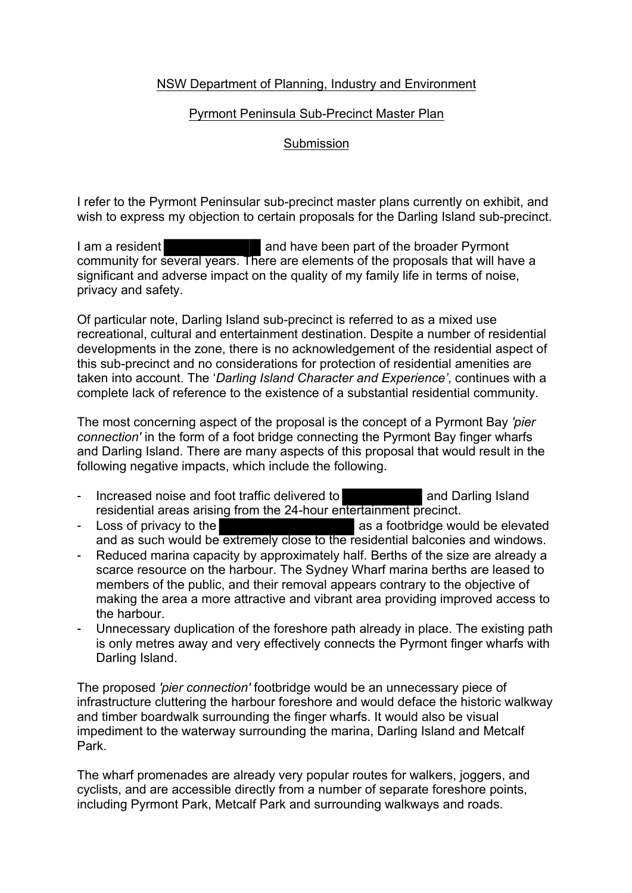## NSW Department of Planning, Industry and Environment

## Pyrmont Peninsula Sub-Precinct Master Plan

## Submission

I refer to the Pyrmont Peninsular sub-precinct master plans currently on exhibit, and wish to express my objection to certain proposals for the Darling Island sub-precinct.

I am a resident and have been part of the broader Pyrmont community for several years. There are elements of the proposals that will have a significant and adverse impact on the quality of my family life in terms of noise, privacy and safety.

Of particular note, Darling Island sub-precinct is referred to as a mixed use recreational, cultural and entertainment destination. Despite a number of residential developments in the zone, there is no acknowledgement of the residential aspect of this sub-precinct and no considerations for protection of residential amenities are taken into account. The '*Darling Island Character and Experience'*, continues with a complete lack of reference to the existence of a substantial residential community.

The most concerning aspect of the proposal is the concept of a Pyrmont Bay *'pier connection'* in the form of a foot bridge connecting the Pyrmont Bay finger wharfs and Darling Island. There are many aspects of this proposal that would result in the following negative impacts, which include the following.

- Increased noise and foot traffic delivered to and Darling Island residential areas arising from the 24-hour entertainment precinct.
- Loss of privacy to the assessment of as a footbridge would be elevated and as such would be extremely close to the residential balconies and windows.
- Reduced marina capacity by approximately half. Berths of the size are already a scarce resource on the harbour. The Sydney Wharf marina berths are leased to members of the public, and their removal appears contrary to the objective of making the area a more attractive and vibrant area providing improved access to the harbour.
- Unnecessary duplication of the foreshore path already in place. The existing path is only metres away and very effectively connects the Pyrmont finger wharfs with Darling Island.

The proposed *'pier connection'* footbridge would be an unnecessary piece of infrastructure cluttering the harbour foreshore and would deface the historic walkway and timber boardwalk surrounding the finger wharfs. It would also be visual impediment to the waterway surrounding the marina, Darling Island and Metcalf Park.

The wharf promenades are already very popular routes for walkers, joggers, and cyclists, and are accessible directly from a number of separate foreshore points, including Pyrmont Park, Metcalf Park and surrounding walkways and roads.